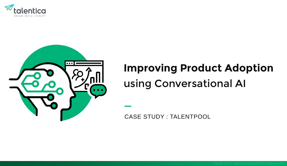



# **Improving Product Adoption**  using Conversational AI

CASE STUDY : TALENTPOOL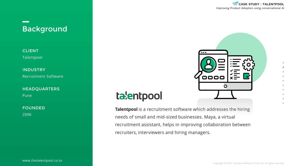# Background

CLIENT Talentpool

INDUSTRY Recruitment Software

HEADQUARTERS

Pune

FOUNDED 2006

Improving Product Adoption using conversational AI **CASE STUDY : TALENTPOOL**



# talentpool

**Talentpool** is a recruitment software which addresses the hiring needs of small and mid-sized businesses. Maya, a virtual recruitment assistant, helps in improving collaboration between recruiters, interviewers and hiring managers.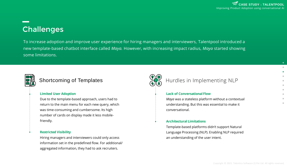# **Challenges**

To increase adoption and improve user experience for hiring managers and interviewers, Talentpool introduced a new template-based chatbot interface called *Maya.* However, with increasing impact radius, *Maya* started showing some limitations.



### Shortcoming of Templates

#### **Limited User Adoption**

Due to the template-based approach, users had to return to the main menu for each new query, which was time-consuming and cumbersome. Its high number of cards on display made it less mobilefriendly.

#### **Restricted Visibility**

Hiring managers and interviewers could only access information set in the predefined flow. For additional/ aggregated information, they had to ask recruiters.



### Hurdles in Implementing NLP

#### **Lack of Conversational Flow**

*Maya* was a stateless platform without a contextual understanding. But this was essential to make it conversational.

#### **Architectural Limitations**

Template-based platforms didn't support Natural Language Processing (NLP). Enabling NLP required an understanding of the user intent.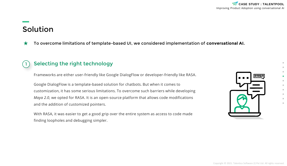# Solution

1

To overcome limitations of template-based UI, we considered implementation of **conversational AI.** ★

### Selecting the right technology

Frameworks are either user-friendly like Google DialogFlow or developer-friendly like RASA.

Google DialogFlow is a template-based solution for chatbots. But when it comes to customization, it has some serious limitations. To overcome such barriers while developing *Maya 2.0*, we opted for RASA. It is an open-source platform that allows code modifications and the addition of customized pointers.

With RASA, it was easier to get a good grip over the entire system as access to code made finding loopholes and debugging simpler.

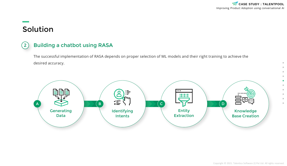$\bullet$  $\qquad \qquad \Box$ 

 $\circ$  $\oplus$  $\circ$ 

# Solution

#### Building a chatbot using RASA  $\left( 2\right)$

The successful implementation of RASA depends on proper selection of ML models and their right training to achieve the desired accuracy.

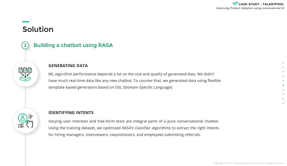# Solution



#### **GENERATING DATA**

ML algorithm performance depends a lot on the size and quality of generated data. We didn't have much real-time data like any new chatbot. To counter that, we generated data using flexible template-based generators based on DSL (Domain Specific Language).



### **IDENTIFYING INTENTS**

Varying user interests and free-form texts are integral parts of a pure conversational chatbot. Using the training dataset, we optimized RASA's classifier algorithms to extract the right intents for hiring managers, interviewers, requisitioners, and employees submitting referrals.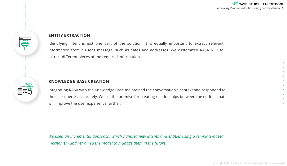#### **ENTITY EXTRACTION**

Identifying intent is just one part of the solution. It is equally important to extract relevant information from a user's message, such as dates and addresses. We customized RASA NLU to extract different pieces of the required information.

### **KNOWLEDGE BASE CREATION**

Integrating RASA with the Knowledge Base maintained the conversation's context and responded to the user queries accurately. We set the premise for creating relationships between the entities that will improve the user experience further.

*We used an incremental approach, which handled new intents and entities using a template-based mechanism and retrained the model to manage them in the future.*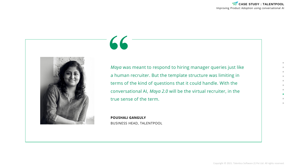# **"**



*Maya* was meant to respond to hiring manager queries just like a human recruiter. But the template structure was limiting in terms of the kind of questions that it could handle. With the conversational AI, *Maya 2.0* will be the virtual recruiter, in the true sense of the term.

**POUSHALI GANGULY** BUSINESS HEAD, TALENTPOOL

Copyright © 2021. Talentica Software (I) Pvt Ltd. All rights reserved.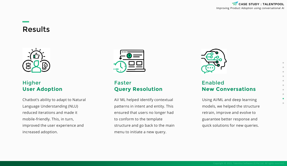## Results



### **Higher User Adoption**

Chatbot's ability to adapt to Natural Language Understanding (NLU) reduced iterations and made it mobile-friendly. This, in turn, improved the user experience and increased adoption.



### Faster **Query Resolution**

AI/ ML helped identify contextual patterns in intent and entity. This ensured that users no longer had to conform to the template structure and go back to the main menu to initiate a new query.



### Enabled **New Conversations**

Using AI/ML and deep learning models, we helped the structure retrain, improve and evolve to guarantee better response and quick solutions for new queries.